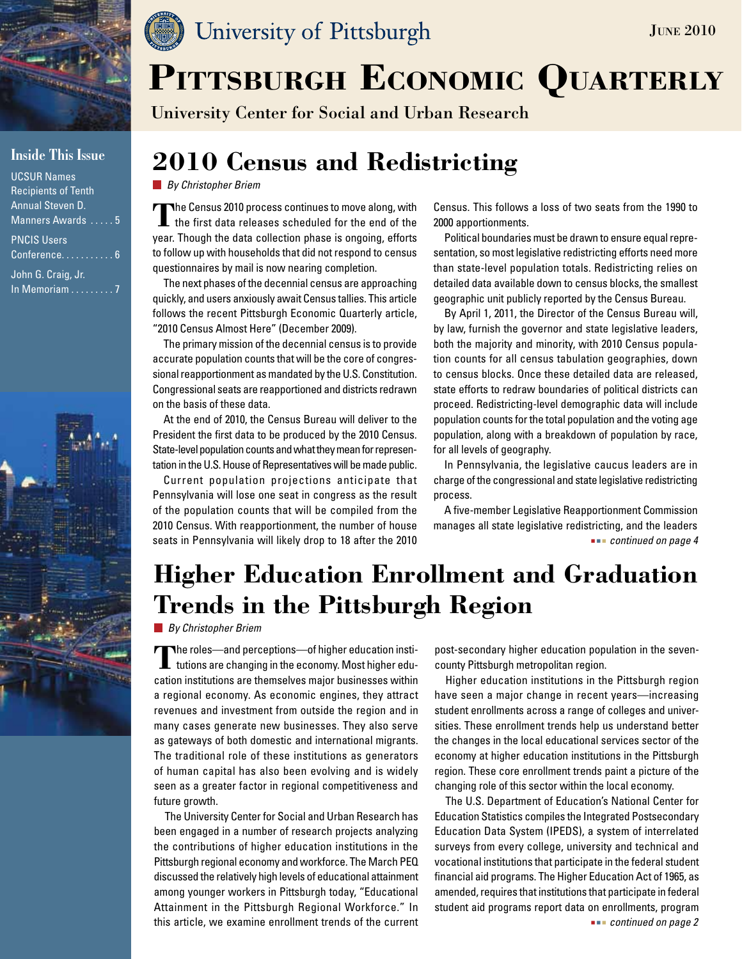

### **Inside This Issue**

| <b>UCSUR Names</b>         |
|----------------------------|
| <b>Recipients of Tenth</b> |
| <b>Annual Steven D.</b>    |
| Manners Awards  5          |
| <b>PNCIS Users</b>         |
| Conference 6               |

John G. Craig, Jr. In Memoriam . . . . . . . . . 7



### University of Pittsburgh

University Center for Social and Urban Research

### **2010 Census and Redistricting**

*By Christopher Briem*

The Census 2010 process continues to move along, with the first data releases scheduled for the end of the year. Though the data collection phase is ongoing, efforts to follow up with households that did not respond to census questionnaires by mail is now nearing completion.

The next phases of the decennial census are approaching quickly, and users anxiously await Census tallies. This article follows the recent Pittsburgh Economic Quarterly article, "2010 Census Almost Here" (December 2009).

The primary mission of the decennial census is to provide accurate population counts that will be the core of congressional reapportionment as mandated by the U.S. Constitution. Congressional seats are reapportioned and districts redrawn on the basis of these data.

At the end of 2010, the Census Bureau will deliver to the President the first data to be produced by the 2010 Census. State-level population counts and what they mean for representation in the U.S. House of Representatives will be made public.

Current population projections anticipate that Pennsylvania will lose one seat in congress as the result of the population counts that will be compiled from the 2010 Census. With reapportionment, the number of house

Census. This follows a loss of two seats from the 1990 to 2000 apportionments.

June 2010

Political boundaries must be drawn to ensure equal representation, so most legislative redistricting efforts need more than state-level population totals. Redistricting relies on detailed data available down to census blocks, the smallest geographic unit publicly reported by the Census Bureau.

By April 1, 2011, the Director of the Census Bureau will, by law, furnish the governor and state legislative leaders, both the majority and minority, with 2010 Census population counts for all census tabulation geographies, down to census blocks. Once these detailed data are released, state efforts to redraw boundaries of political districts can proceed. Redistricting-level demographic data will include population counts for the total population and the voting age population, along with a breakdown of population by race, for all levels of geography.

In Pennsylvania, the legislative caucus leaders are in charge of the congressional and state legislative redistricting process.

seats in Pennsylvania will likely drop to 18 after the 2010 *continued on page 4* and *continued on page 4* A five-member Legislative Reapportionment Commission manages all state legislative redistricting, and the leaders

## **Higher Education Enrollment and Graduation Trends in the Pittsburgh Region**

*By Christopher Briem*

**T**he roles—and perceptions—of higher education institutions are changing in the economy. Most higher education institutions are themselves major businesses within a regional economy. As economic engines, they attract revenues and investment from outside the region and in many cases generate new businesses. They also serve as gateways of both domestic and international migrants. The traditional role of these institutions as generators of human capital has also been evolving and is widely seen as a greater factor in regional competitiveness and future growth.

The University Center for Social and Urban Research has been engaged in a number of research projects analyzing the contributions of higher education institutions in the Pittsburgh regional economy and workforce. The March PEQ discussed the relatively high levels of educational attainment among younger workers in Pittsburgh today, "Educational Attainment in the Pittsburgh Regional Workforce." In this article, we examine enrollment trends of the current

post-secondary higher education population in the sevencounty Pittsburgh metropolitan region.

Higher education institutions in the Pittsburgh region have seen a major change in recent years—increasing student enrollments across a range of colleges and universities. These enrollment trends help us understand better the changes in the local educational services sector of the economy at higher education institutions in the Pittsburgh region. These core enrollment trends paint a picture of the changing role of this sector within the local economy.

The U.S. Department of Education's National Center for Education Statistics compiles the Integrated Postsecondary Education Data System (IPEDS), a system of interrelated surveys from every college, university and technical and vocational institutions that participate in the federal student financial aid programs. The Higher Education Act of 1965, as amended, requires that institutions that participate in federal student aid programs report data on enrollments, program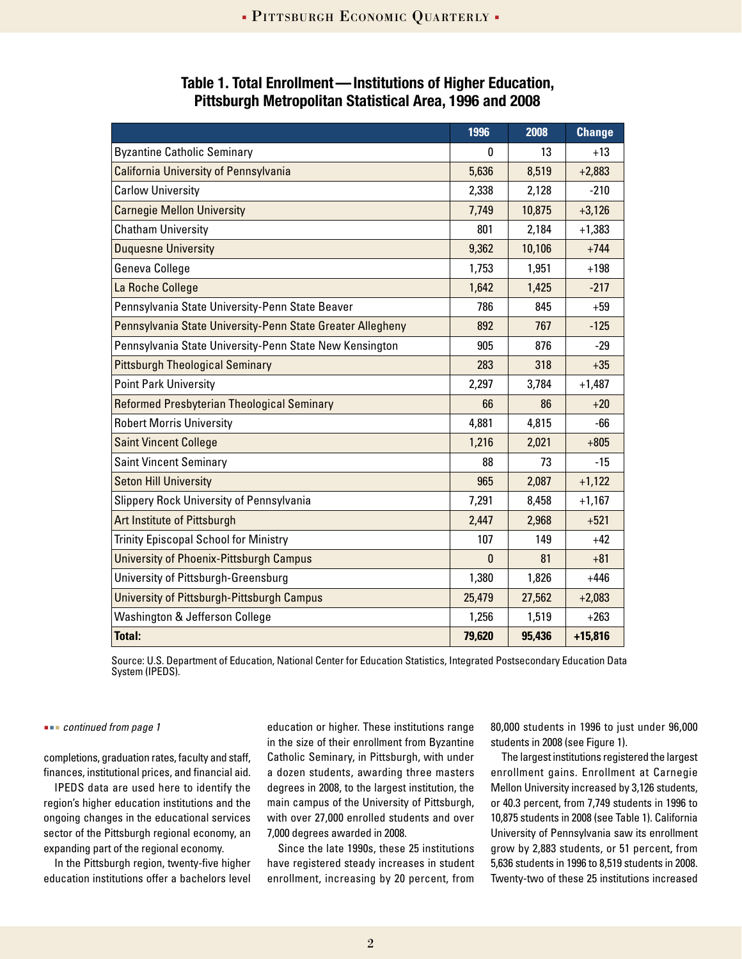|                                                            | 1996   | 2008   | <b>Change</b> |
|------------------------------------------------------------|--------|--------|---------------|
| <b>Byzantine Catholic Seminary</b>                         | 0      | 13     | $+13$         |
| <b>California University of Pennsylvania</b>               | 5,636  | 8,519  | $+2,883$      |
| <b>Carlow University</b>                                   | 2,338  | 2,128  | $-210$        |
| <b>Carnegie Mellon University</b>                          | 7,749  | 10,875 | $+3,126$      |
| <b>Chatham University</b>                                  | 801    | 2,184  | $+1,383$      |
| <b>Duquesne University</b>                                 | 9,362  | 10,106 | $+744$        |
| Geneva College                                             | 1,753  | 1,951  | $+198$        |
| La Roche College                                           | 1,642  | 1,425  | $-217$        |
| Pennsylvania State University-Penn State Beaver            | 786    | 845    | $+59$         |
| Pennsylvania State University-Penn State Greater Allegheny | 892    | 767    | $-125$        |
| Pennsylvania State University-Penn State New Kensington    | 905    | 876    | $-29$         |
| <b>Pittsburgh Theological Seminary</b>                     | 283    | 318    | $+35$         |
| <b>Point Park University</b>                               | 2,297  | 3,784  | $+1,487$      |
| Reformed Presbyterian Theological Seminary                 | 66     | 86     | $+20$         |
| <b>Robert Morris University</b>                            | 4,881  | 4,815  | -66           |
| <b>Saint Vincent College</b>                               | 1,216  | 2,021  | $+805$        |
| <b>Saint Vincent Seminary</b>                              | 88     | 73     | $-15$         |
| <b>Seton Hill University</b>                               | 965    | 2,087  | $+1,122$      |
| Slippery Rock University of Pennsylvania                   | 7,291  | 8,458  | $+1,167$      |
| Art Institute of Pittsburgh                                | 2,447  | 2,968  | $+521$        |
| <b>Trinity Episcopal School for Ministry</b>               | 107    | 149    | $+42$         |
| <b>University of Phoenix-Pittsburgh Campus</b>             | 0      | 81     | $+81$         |
| University of Pittsburgh-Greensburg                        | 1,380  | 1,826  | $+446$        |
| University of Pittsburgh-Pittsburgh Campus                 | 25,479 | 27,562 | $+2,083$      |
| Washington & Jefferson College                             | 1,256  | 1,519  | $+263$        |
| <b>Total:</b>                                              | 79,620 | 95,436 | $+15,816$     |

### **Table 1. Total Enrollment—Institutions of Higher Education, Pittsburgh Metropolitan Statistical Area, 1996 and 2008**

Source: U.S. Department of Education, National Center for Education Statistics, Integrated Postsecondary Education Data System (IPEDS).

#### *continued from page 1*

completions, graduation rates, faculty and staff, finances, institutional prices, and financial aid.

IPEDS data are used here to identify the region's higher education institutions and the ongoing changes in the educational services sector of the Pittsburgh regional economy, an expanding part of the regional economy.

In the Pittsburgh region, twenty-five higher education institutions offer a bachelors level

education or higher. These institutions range in the size of their enrollment from Byzantine Catholic Seminary, in Pittsburgh, with under a dozen students, awarding three masters degrees in 2008, to the largest institution, the main campus of the University of Pittsburgh, with over 27,000 enrolled students and over 7,000 degrees awarded in 2008.

Since the late 1990s, these 25 institutions have registered steady increases in student enrollment, increasing by 20 percent, from

80,000 students in 1996 to just under 96,000 students in 2008 (see Figure 1).

The largest institutions registered the largest enrollment gains. Enrollment at Carnegie Mellon University increased by 3,126 students, or 40.3 percent, from 7,749 students in 1996 to 10,875 students in 2008 (see Table 1). California University of Pennsylvania saw its enrollment grow by 2,883 students, or 51 percent, from 5,636 students in 1996 to 8,519 students in 2008. Twenty-two of these 25 institutions increased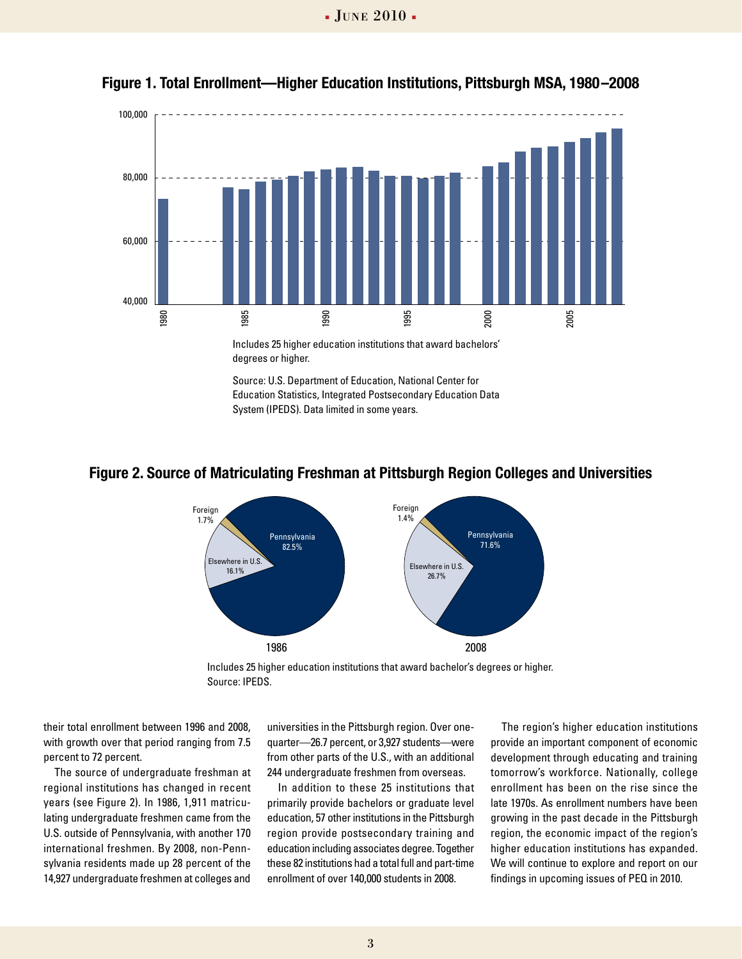

**Figure 1. Total Enrollment—Higher Education Institutions, Pittsburgh MSA, 1980–2008**

Education Statistics, Integrated Postsecondary Education Data

System (IPEDS). Data limited in some years.

#### **Figure 2. Source of Matriculating Freshman at Pittsburgh Region Colleges and Universities**



Includes 25 higher education institutions that award bachelor's degrees or higher. Source: IPEDS.

their total enrollment between 1996 and 2008, with growth over that period ranging from 7.5 percent to 72 percent.

The source of undergraduate freshman at regional institutions has changed in recent years (see Figure 2). In 1986, 1,911 matriculating undergraduate freshmen came from the U.S. outside of Pennsylvania, with another 170 international freshmen. By 2008, non-Pennsylvania residents made up 28 percent of the 14,927 undergraduate freshmen at colleges and

universities in the Pittsburgh region. Over onequarter—26.7 percent, or 3,927 students—were from other parts of the U.S., with an additional 244 undergraduate freshmen from overseas.

In addition to these 25 institutions that primarily provide bachelors or graduate level education, 57 other institutions in the Pittsburgh region provide postsecondary training and education including associates degree. Together these 82 institutions had a total full and part-time enrollment of over 140,000 students in 2008.

The region's higher education institutions provide an important component of economic development through educating and training tomorrow's workforce. Nationally, college enrollment has been on the rise since the late 1970s. As enrollment numbers have been growing in the past decade in the Pittsburgh region, the economic impact of the region's higher education institutions has expanded. We will continue to explore and report on our findings in upcoming issues of PEQ in 2010.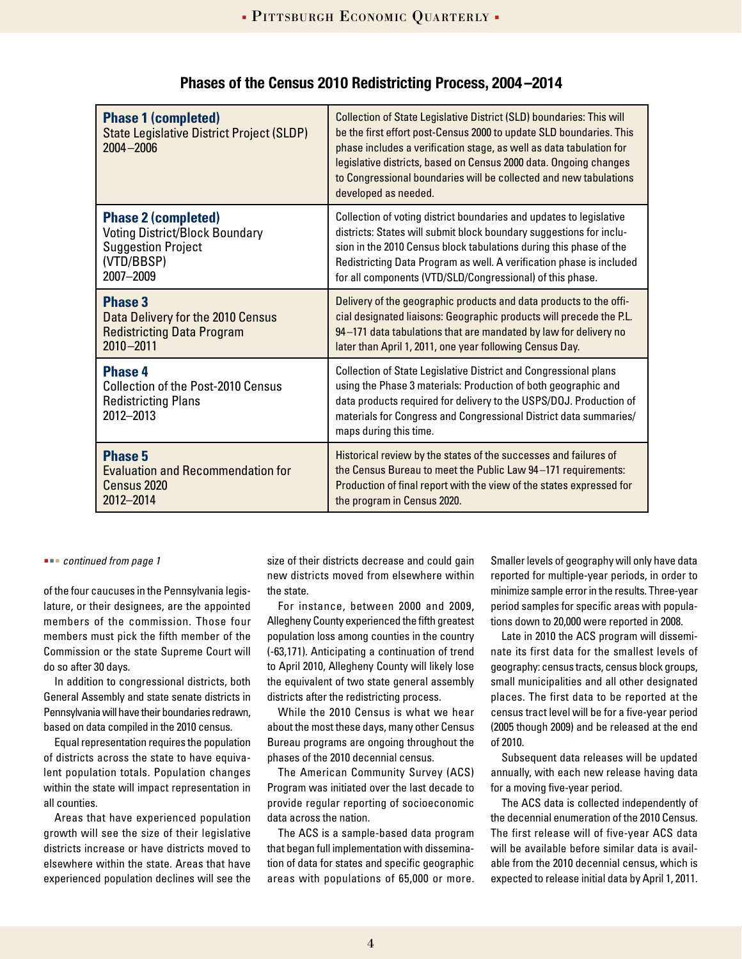| <b>Phase 1 (completed)</b><br><b>State Legislative District Project (SLDP)</b><br>$2004 - 2006$        | Collection of State Legislative District (SLD) boundaries: This will<br>be the first effort post-Census 2000 to update SLD boundaries. This<br>phase includes a verification stage, as well as data tabulation for<br>legislative districts, based on Census 2000 data. Ongoing changes<br>to Congressional boundaries will be collected and new tabulations<br>developed as needed. |
|--------------------------------------------------------------------------------------------------------|--------------------------------------------------------------------------------------------------------------------------------------------------------------------------------------------------------------------------------------------------------------------------------------------------------------------------------------------------------------------------------------|
| <b>Phase 2 (completed)</b>                                                                             | Collection of voting district boundaries and updates to legislative                                                                                                                                                                                                                                                                                                                  |
| <b>Voting District/Block Boundary</b>                                                                  | districts: States will submit block boundary suggestions for inclu-                                                                                                                                                                                                                                                                                                                  |
| <b>Suggestion Project</b>                                                                              | sion in the 2010 Census block tabulations during this phase of the                                                                                                                                                                                                                                                                                                                   |
| (VTD/BBSP)                                                                                             | Redistricting Data Program as well. A verification phase is included                                                                                                                                                                                                                                                                                                                 |
| 2007-2009                                                                                              | for all components (VTD/SLD/Congressional) of this phase.                                                                                                                                                                                                                                                                                                                            |
| <b>Phase 3</b>                                                                                         | Delivery of the geographic products and data products to the offi-                                                                                                                                                                                                                                                                                                                   |
| Data Delivery for the 2010 Census                                                                      | cial designated liaisons: Geographic products will precede the P.L.                                                                                                                                                                                                                                                                                                                  |
| <b>Redistricting Data Program</b>                                                                      | 94-171 data tabulations that are mandated by law for delivery no                                                                                                                                                                                                                                                                                                                     |
| 2010-2011                                                                                              | later than April 1, 2011, one year following Census Day.                                                                                                                                                                                                                                                                                                                             |
| <b>Phase 4</b><br><b>Collection of the Post-2010 Census</b><br><b>Redistricting Plans</b><br>2012-2013 | <b>Collection of State Legislative District and Congressional plans</b><br>using the Phase 3 materials: Production of both geographic and<br>data products required for delivery to the USPS/DOJ. Production of<br>materials for Congress and Congressional District data summaries/<br>maps during this time.                                                                       |
| <b>Phase 5</b>                                                                                         | Historical review by the states of the successes and failures of                                                                                                                                                                                                                                                                                                                     |
| <b>Evaluation and Recommendation for</b>                                                               | the Census Bureau to meet the Public Law 94-171 requirements:                                                                                                                                                                                                                                                                                                                        |
| Census 2020                                                                                            | Production of final report with the view of the states expressed for                                                                                                                                                                                                                                                                                                                 |
| 2012-2014                                                                                              | the program in Census 2020.                                                                                                                                                                                                                                                                                                                                                          |

### **Phases of the Census 2010 Redistricting Process, 2004 –2014**

#### *continued from page 1*

of the four caucuses in the Pennsylvania legislature, or their designees, are the appointed members of the commission. Those four members must pick the fifth member of the Commission or the state Supreme Court will do so after 30 days.

In addition to congressional districts, both General Assembly and state senate districts in Pennsylvania will have their boundaries redrawn, based on data compiled in the 2010 census.

Equal representation requires the population of districts across the state to have equivalent population totals. Population changes within the state will impact representation in all counties.

Areas that have experienced population growth will see the size of their legislative districts increase or have districts moved to elsewhere within the state. Areas that have experienced population declines will see the

size of their districts decrease and could gain new districts moved from elsewhere within the state.

For instance, between 2000 and 2009, Allegheny County experienced the fifth greatest population loss among counties in the country (-63,171). Anticipating a continuation of trend to April 2010, Allegheny County will likely lose the equivalent of two state general assembly districts after the redistricting process.

While the 2010 Census is what we hear about the most these days, many other Census Bureau programs are ongoing throughout the phases of the 2010 decennial census.

The American Community Survey (ACS) Program was initiated over the last decade to provide regular reporting of socioeconomic data across the nation.

The ACS is a sample-based data program that began full implementation with dissemination of data for states and specific geographic areas with populations of 65,000 or more. Smaller levels of geography will only have data reported for multiple-year periods, in order to minimize sample error in the results. Three-year period samples for specific areas with populations down to 20,000 were reported in 2008.

Late in 2010 the ACS program will disseminate its first data for the smallest levels of geography: census tracts, census block groups, small municipalities and all other designated places. The first data to be reported at the census tract level will be for a five-year period (2005 though 2009) and be released at the end of 2010.

Subsequent data releases will be updated annually, with each new release having data for a moving five-year period.

The ACS data is collected independently of the decennial enumeration of the 2010 Census. The first release will of five-year ACS data will be available before similar data is available from the 2010 decennial census, which is expected to release initial data by April 1, 2011.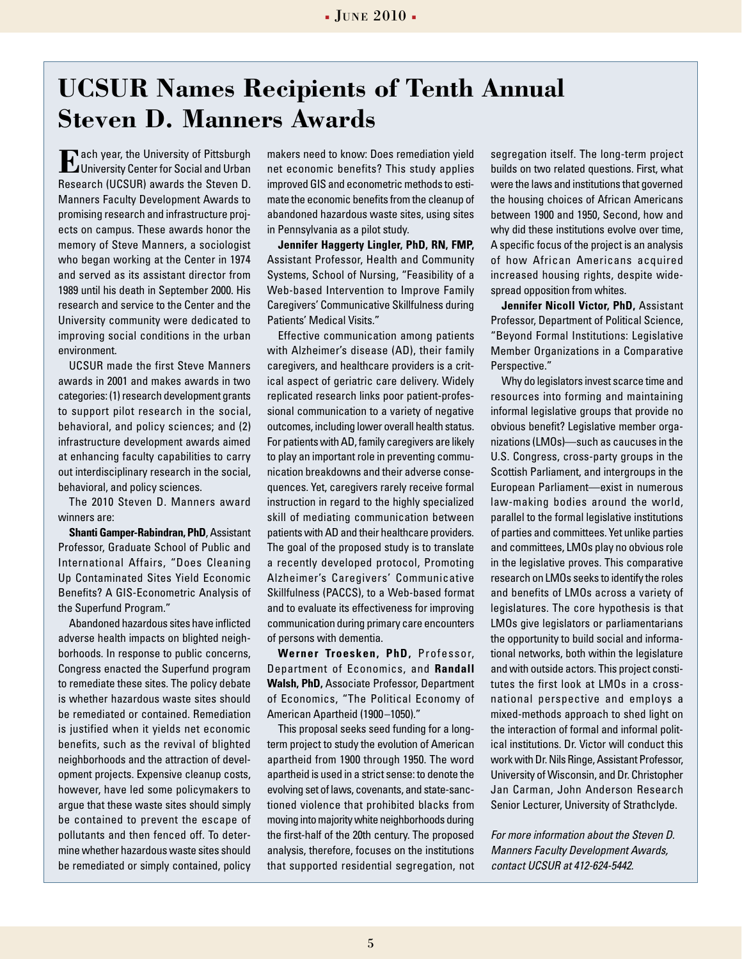### **UCSUR Names Recipients of Tenth Annual Steven D. Manners Awards**

**E**ach year, the University of Pittsburgh<br>University Center for Social and Urban Research (UCSUR) awards the Steven D. Manners Faculty Development Awards to promising research and infrastructure projects on campus. These awards honor the memory of Steve Manners, a sociologist who began working at the Center in 1974 and served as its assistant director from 1989 until his death in September 2000. His research and service to the Center and the University community were dedicated to improving social conditions in the urban environment.

UCSUR made the first Steve Manners awards in 2001 and makes awards in two categories: (1) research development grants to support pilot research in the social, behavioral, and policy sciences; and (2) infrastructure development awards aimed at enhancing faculty capabilities to carry out interdisciplinary research in the social, behavioral, and policy sciences.

The 2010 Steven D. Manners award winners are:

**Shanti Gamper-Rabindran, PhD**, Assistant Professor, Graduate School of Public and International Affairs, "Does Cleaning Up Contaminated Sites Yield Economic Benefits? A GIS-Econometric Analysis of the Superfund Program."

Abandoned hazardous sites have inflicted adverse health impacts on blighted neighborhoods. In response to public concerns, Congress enacted the Superfund program to remediate these sites. The policy debate is whether hazardous waste sites should be remediated or contained. Remediation is justified when it yields net economic benefits, such as the revival of blighted neighborhoods and the attraction of development projects. Expensive cleanup costs, however, have led some policymakers to argue that these waste sites should simply be contained to prevent the escape of pollutants and then fenced off. To determine whether hazardous waste sites should be remediated or simply contained, policy

makers need to know: Does remediation yield net economic benefits? This study applies improved GIS and econometric methods to estimate the economic benefits from the cleanup of abandoned hazardous waste sites, using sites in Pennsylvania as a pilot study.

**Jennifer Haggerty Lingler, PhD, RN, FMP,** Assistant Professor, Health and Community Systems, School of Nursing, "Feasibility of a Web-based Intervention to Improve Family Caregivers' Communicative Skillfulness during Patients' Medical Visits."

Effective communication among patients with Alzheimer's disease (AD), their family caregivers, and healthcare providers is a critical aspect of geriatric care delivery. Widely replicated research links poor patient-professional communication to a variety of negative outcomes, including lower overall health status. For patients with AD, family caregivers are likely to play an important role in preventing communication breakdowns and their adverse consequences. Yet, caregivers rarely receive formal instruction in regard to the highly specialized skill of mediating communication between patients with AD and their healthcare providers. The goal of the proposed study is to translate a recently developed protocol, Promoting Alzheimer's Caregivers' Communicative Skillfulness (PACCS), to a Web-based format and to evaluate its effectiveness for improving communication during primary care encounters of persons with dementia.

**Werner Troesken, PhD,** Professor, Department of Economics, and **Randall Walsh, PhD,** Associate Professor, Department of Economics, "The Political Economy of American Apartheid (1900–1050)."

This proposal seeks seed funding for a longterm project to study the evolution of American apartheid from 1900 through 1950. The word apartheid is used in a strict sense: to denote the evolving set of laws, covenants, and state-sanctioned violence that prohibited blacks from moving into majority white neighborhoods during the first-half of the 20th century. The proposed analysis, therefore, focuses on the institutions that supported residential segregation, not

segregation itself. The long-term project builds on two related questions. First, what were the laws and institutions that governed the housing choices of African Americans between 1900 and 1950, Second, how and why did these institutions evolve over time, A specific focus of the project is an analysis of how African Americans acquired increased housing rights, despite widespread opposition from whites.

**Jennifer Nicoll Victor, PhD,** Assistant Professor, Department of Political Science, "Beyond Formal Institutions: Legislative Member Organizations in a Comparative Perspective."

Why do legislators invest scarce time and resources into forming and maintaining informal legislative groups that provide no obvious benefit? Legislative member organizations (LMOs)—such as caucuses in the U.S. Congress, cross-party groups in the Scottish Parliament, and intergroups in the European Parliament—exist in numerous law-making bodies around the world, parallel to the formal legislative institutions of parties and committees. Yet unlike parties and committees, LMOs play no obvious role in the legislative proves. This comparative research on LMOs seeks to identify the roles and benefits of LMOs across a variety of legislatures. The core hypothesis is that LMOs give legislators or parliamentarians the opportunity to build social and informational networks, both within the legislature and with outside actors. This project constitutes the first look at LMOs in a crossnational perspective and employs a mixed-methods approach to shed light on the interaction of formal and informal political institutions. Dr. Victor will conduct this work with Dr. Nils Ringe, Assistant Professor, University of Wisconsin, and Dr. Christopher Jan Carman, John Anderson Research Senior Lecturer, University of Strathclyde.

*For more information about the Steven D. Manners Faculty Development Awards, contact UCSUR at 412-624-5442.*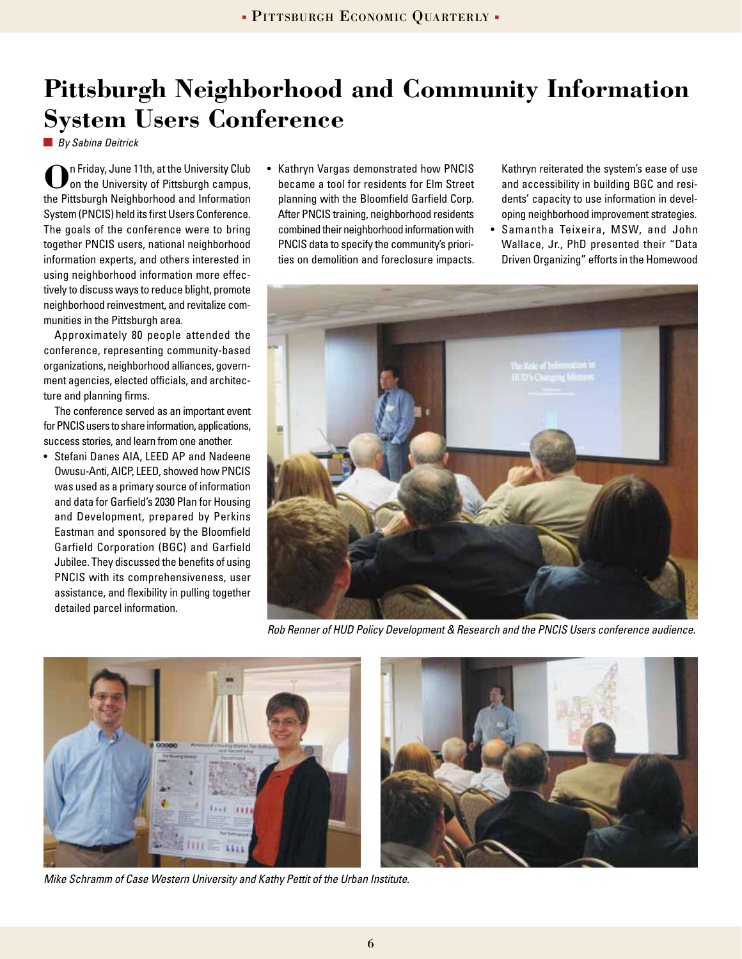# **Pittsburgh Neighborhood and Community Information System Users Conference**

*By Sabina Deitrick*

**O**n Friday, June 11th, at the University Club on the University of Pittsburgh campus, the Pittsburgh Neighborhood and Information System (PNCIS) held its first Users Conference. The goals of the conference were to bring together PNCIS users, national neighborhood information experts, and others interested in using neighborhood information more effectively to discuss ways to reduce blight, promote neighborhood reinvestment, and revitalize communities in the Pittsburgh area.

Approximately 80 people attended the conference, representing community-based organizations, neighborhood alliances, government agencies, elected officials, and architecture and planning firms.

The conference served as an important event for PNCIS users to share information, applications, success stories, and learn from one another.

• Stefani Danes AIA, LEED AP and Nadeene Owusu-Anti, AICP, LEED, showed how PNCIS was used as a primary source of information and data for Garfield's 2030 Plan for Housing and Development, prepared by Perkins Eastman and sponsored by the Bloomfield Garfield Corporation (BGC) and Garfield Jubilee. They discussed the benefits of using PNCIS with its comprehensiveness, user assistance, and flexibility in pulling together detailed parcel information.

• Kathryn Vargas demonstrated how PNCIS became a tool for residents for Elm Street planning with the Bloomfield Garfield Corp. After PNCIS training, neighborhood residents combined their neighborhood information with PNCIS data to specify the community's priorities on demolition and foreclosure impacts.

Kathryn reiterated the system's ease of use and accessibility in building BGC and residents' capacity to use information in developing neighborhood improvement strategies.

• Samantha Teixeira, MSW, and John Wallace, Jr., PhD presented their "Data Driven Organizing" efforts in the Homewood



*Rob Renner of HUD Policy Development & Research and the PNCIS Users conference audience.*



*Mike Schramm of Case Western University and Kathy Pettit of the Urban Institute.*

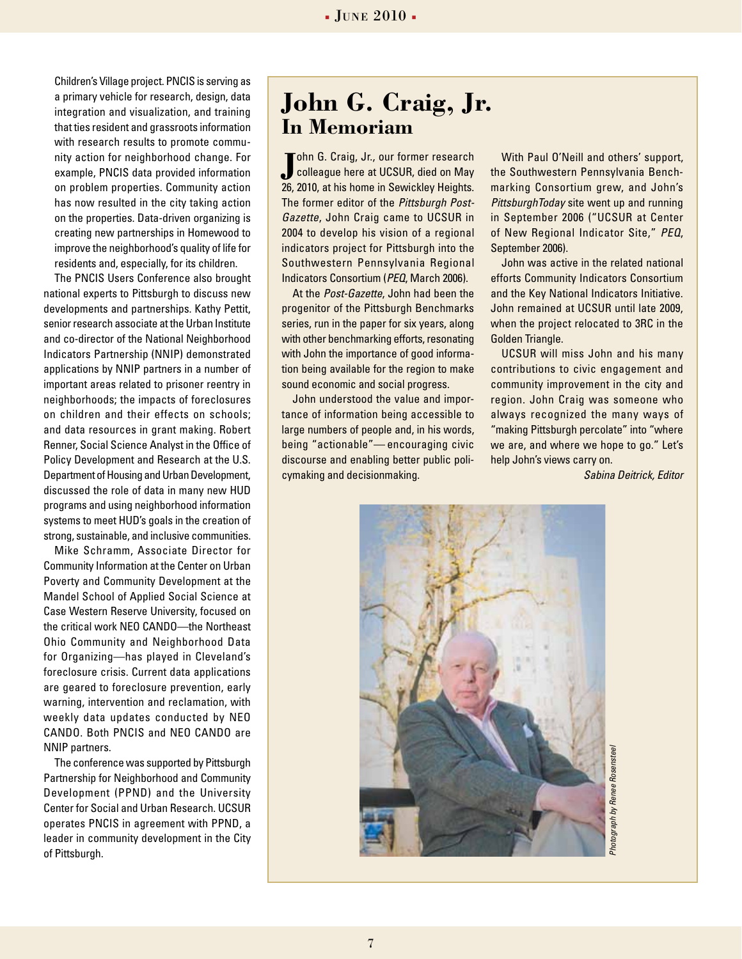Children's Village project. PNCIS is serving as a primary vehicle for research, design, data integration and visualization, and training that ties resident and grassroots information with research results to promote community action for neighborhood change. For example, PNCIS data provided information on problem properties. Community action has now resulted in the city taking action on the properties. Data-driven organizing is creating new partnerships in Homewood to improve the neighborhood's quality of life for residents and, especially, for its children.

The PNCIS Users Conference also brought national experts to Pittsburgh to discuss new developments and partnerships. Kathy Pettit, senior research associate at the Urban Institute and co-director of the National Neighborhood Indicators Partnership (NNIP) demonstrated applications by NNIP partners in a number of important areas related to prisoner reentry in neighborhoods; the impacts of foreclosures on children and their effects on schools; and data resources in grant making. Robert Renner, Social Science Analyst in the Office of Policy Development and Research at the U.S. Department of Housing and Urban Development, discussed the role of data in many new HUD programs and using neighborhood information systems to meet HUD's goals in the creation of strong, sustainable, and inclusive communities.

Mike Schramm, Associate Director for Community Information at the Center on Urban Poverty and Community Development at the Mandel School of Applied Social Science at Case Western Reserve University, focused on the critical work NEO CANDO—the Northeast Ohio Community and Neighborhood Data for Organizing—has played in Cleveland's foreclosure crisis. Current data applications are geared to foreclosure prevention, early warning, intervention and reclamation, with weekly data updates conducted by NEO CANDO. Both PNCIS and NEO CANDO are NNIP partners.

The conference was supported by Pittsburgh Partnership for Neighborhood and Community Development (PPND) and the University Center for Social and Urban Research. UCSUR operates PNCIS in agreement with PPND, a leader in community development in the City of Pittsburgh.

### **John G. Craig, Jr. In Memoriam**

**J** ohn G. Craig, Jr., our former research<br>colleague here at UCSUR, died on May ohn G. Craig, Jr., our former research 26, 2010, at his home in Sewickley Heights. The former editor of the *Pittsburgh Post-Gazette*, John Craig came to UCSUR in 2004 to develop his vision of a regional indicators project for Pittsburgh into the Southwestern Pennsylvania Regional Indicators Consortium (*PEQ*, March 2006).

At the *Post-Gazette*, John had been the progenitor of the Pittsburgh Benchmarks series, run in the paper for six years, along with other benchmarking efforts, resonating with John the importance of good information being available for the region to make sound economic and social progress.

John understood the value and importance of information being accessible to large numbers of people and, in his words, being "actionable"— encouraging civic discourse and enabling better public policymaking and decisionmaking.

With Paul O'Neill and others' support, the Southwestern Pennsylvania Benchmarking Consortium grew, and John's *PittsburghToday* site went up and running in September 2006 ("UCSUR at Center of New Regional Indicator Site," *PEQ*, September 2006).

John was active in the related national efforts Community Indicators Consortium and the Key National Indicators Initiative. John remained at UCSUR until late 2009, when the project relocated to 3RC in the Golden Triangle.

UCSUR will miss John and his many contributions to civic engagement and community improvement in the city and region. John Craig was someone who always recognized the many ways of "making Pittsburgh percolate" into "where we are, and where we hope to go." Let's help John's views carry on.

*Sabina Deitrick, Editor*